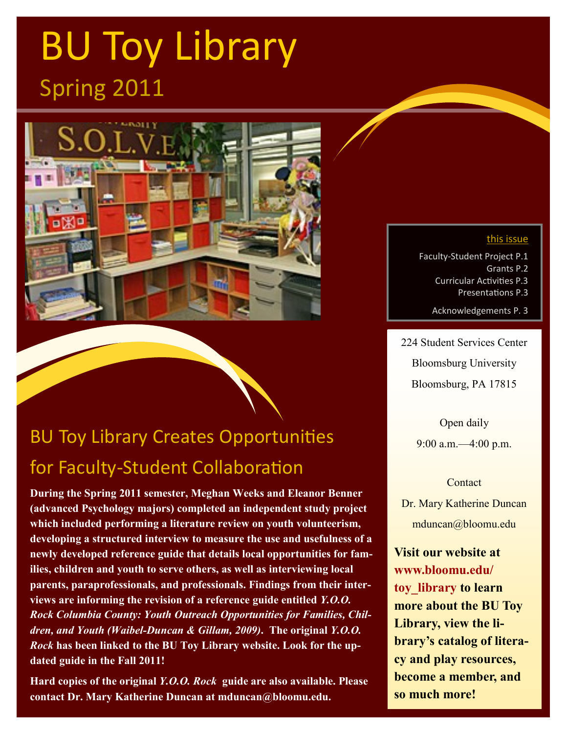# BU Toy Library Spring 2011



## BU Toy Library Creates Opportunities for Faculty-Student Collaboration

**During the Spring 2011 semester, Meghan Weeks and Eleanor Benner (advanced Psychology majors) completed an independent study project which included performing a literature review on youth volunteerism, developing a structured interview to measure the use and usefulness of a newly developed reference guide that details local opportunities for families, children and youth to serve others, as well as interviewing local parents, paraprofessionals, and professionals. Findings from their interviews are informing the revision of a reference guide entitled** *Y.O.O. Rock Columbia County: Youth Outreach Opportunities for Families, Children, and Youth (Waibel-Duncan & Gillam, 2009)***. The original** *Y.O.O. Rock* **has been linked to the BU Toy Library website. Look for the updated guide in the Fall 2011!** 

**Hard copies of the original** *Y.O.O. Rock* **guide are also available. Please contact Dr. Mary Katherine Duncan at mduncan@bloomu.edu.**

#### this issue

Faculty-Student Project P.1 Grants P.2 Curricular Activities P.3 Presentations P.3

Acknowledgements P. 3

224 Student Services Center Bloomsburg University Bloomsburg, PA 17815

> Open daily 9:00 a.m.—4:00 p.m.

#### **Contact**

Dr. Mary Katherine Duncan mduncan@bloomu.edu

**Visit our website at www.bloomu.edu/ toy\_library to learn more about the BU Toy Library, view the library's catalog of literacy and play resources, become a member, and so much more!**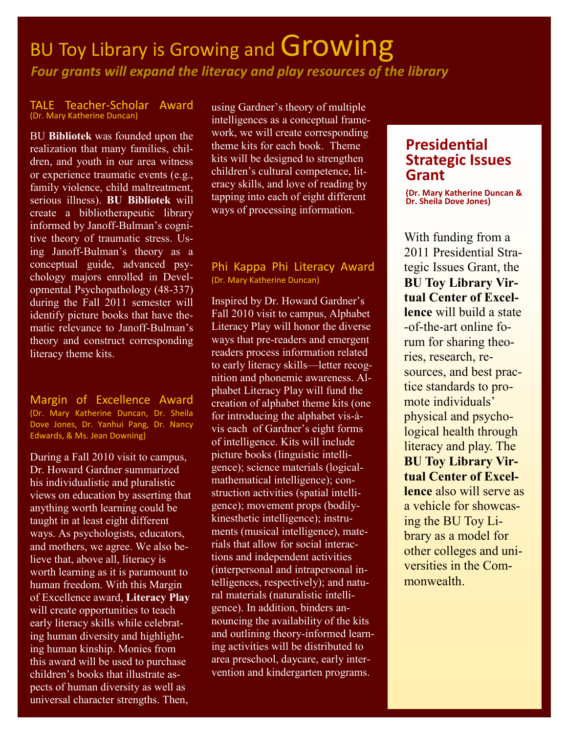### BU Toy Library is Growing and Growing *Four grants will expand the literacy and play resources of the library*

#### TALE Teacher-Scholar Award (Dr. Mary Katherine Duncan)

BU **Bibliotek** was founded upon the realization that many families, children, and youth in our area witness or experience traumatic events (e.g., family violence, child maltreatment, serious illness). **BU Bibliotek** will create a bibliotherapeutic library informed by Janoff-Bulman's cognitive theory of traumatic stress. Using Janoff-Bulman's theory as a conceptual guide, advanced psychology majors enrolled in Developmental Psychopathology (48-337) during the Fall 2011 semester will identify picture books that have thematic relevance to Janoff-Bulman's theory and construct corresponding literacy theme kits.

Margin of Excellence Award (Dr. Mary Katherine Duncan, Dr. Sheila Dove Jones, Dr. Yanhui Pang, Dr. Nancy Edwards, & Ms. Jean Downing)

During a Fall 2010 visit to campus, Dr. Howard Gardner summarized his individualistic and pluralistic views on education by asserting that anything worth learning could be taught in at least eight different ways. As psychologists, educators, and mothers, we agree. We also believe that, above all, literacy is worth learning as it is paramount to human freedom. With this Margin of Excellence award, **Literacy Play** will create opportunities to teach early literacy skills while celebrating human diversity and highlighting human kinship. Monies from this award will be used to purchase children's books that illustrate aspects of human diversity as well as universal character strengths. Then,

using Gardner's theory of multiple intelligences as a conceptual framework, we will create corresponding theme kits for each book. Theme kits will be designed to strengthen children's cultural competence, literacy skills, and love of reading by tapping into each of eight different ways of processing information.

#### Phi Kappa Phi Literacy Award (Dr. Mary Katherine Duncan)

Inspired by Dr. Howard Gardner's Fall 2010 visit to campus, Alphabet Literacy Play will honor the diverse ways that pre-readers and emergent readers process information related to early literacy skills—letter recognition and phonemic awareness. Alphabet Literacy Play will fund the creation of alphabet theme kits (one for introducing the alphabet vis-àvis each of Gardner's eight forms of intelligence. Kits will include picture books (linguistic intelligence); science materials (logicalmathematical intelligence); construction activities (spatial intelligence); movement props (bodilykinesthetic intelligence); instruments (musical intelligence), materials that allow for social interactions and independent activities (interpersonal and intrapersonal intelligences, respectively); and natural materials (naturalistic intelligence). In addition, binders announcing the availability of the kits and outlining theory-informed learning activities will be distributed to area preschool, daycare, early intervention and kindergarten programs.

### **Presidential Strategic Issues Grant**

**(Dr. Mary Katherine Duncan & Dr. Sheila Dove Jones)**

With funding from a 2011 Presidential Strategic Issues Grant, the **BU Toy Library Virtual Center of Excellence** will build a state -of-the-art online forum for sharing theories, research, resources, and best practice standards to promote individuals' physical and psychological health through literacy and play. The **BU Toy Library Virtual Center of Excellence** also will serve as a vehicle for showcasing the BU Toy Library as a model for other colleges and universities in the Commonwealth.